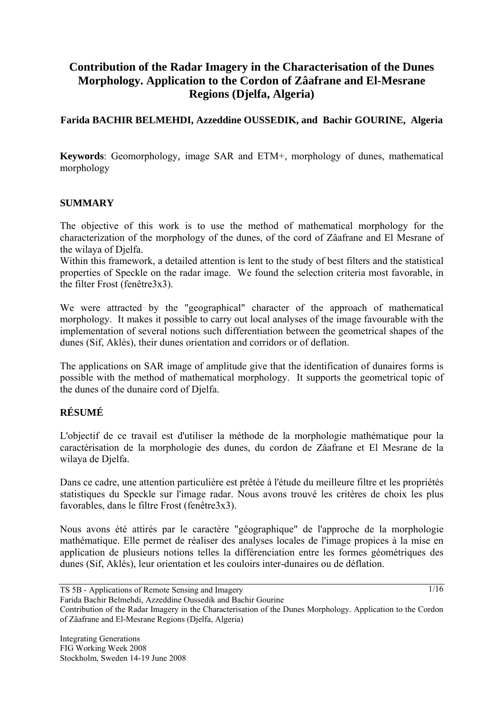# **Contribution of the Radar Imagery in the Characterisation of the Dunes Morphology. Application to the Cordon of Zâafrane and El-Mesrane Regions (Djelfa, Algeria)**

# **Farida BACHIR BELMEHDI, Azzeddine OUSSEDIK, and Bachir GOURINE, Algeria**

**Keywords**: Geomorphology*,* image SAR and ETM+, morphology of dunes, mathematical morphology

## **SUMMARY**

The objective of this work is to use the method of mathematical morphology for the characterization of the morphology of the dunes, of the cord of Zâafrane and El Mesrane of the wilaya of Djelfa.

Within this framework, a detailed attention is lent to the study of best filters and the statistical properties of Speckle on the radar image. We found the selection criteria most favorable, in the filter Frost (fenêtre3x3).

We were attracted by the "geographical" character of the approach of mathematical morphology. It makes it possible to carry out local analyses of the image favourable with the implementation of several notions such differentiation between the geometrical shapes of the dunes (Sif, Aklés), their dunes orientation and corridors or of deflation.

The applications on SAR image of amplitude give that the identification of dunaires forms is possible with the method of mathematical morphology. It supports the geometrical topic of the dunes of the dunaire cord of Djelfa.

## **RÉSUMÉ**

L'objectif de ce travail est d'utiliser la méthode de la morphologie mathématique pour la caractérisation de la morphologie des dunes, du cordon de Zâafrane et El Mesrane de la wilaya de Djelfa.

Dans ce cadre, une attention particulière est prêtée à l'étude du meilleure filtre et les propriétés statistiques du Speckle sur l'image radar. Nous avons trouvé les critères de choix les plus favorables, dans le filtre Frost (fenêtre3x3).

Nous avons été attirés par le caractère "géographique" de l'approche de la morphologie mathématique. Elle permet de réaliser des analyses locales de l'image propices à la mise en application de plusieurs notions telles la différenciation entre les formes géométriques des dunes (Sif, Aklés), leur orientation et les couloirs inter-dunaires ou de déflation.

TS 5B - Applications of Remote Sensing and Imagery

Contribution of the Radar Imagery in the Characterisation of the Dunes Morphology. Application to the Cordon of Zâafrane and El-Mesrane Regions (Djelfa, Algeria)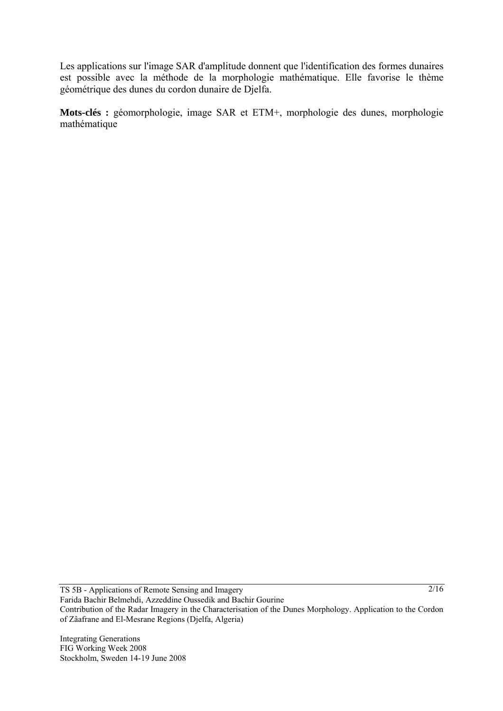Les applications sur l'image SAR d'amplitude donnent que l'identification des formes dunaires est possible avec la méthode de la morphologie mathématique. Elle favorise le thème géométrique des dunes du cordon dunaire de Djelfa.

**Mots-clés :** géomorphologie, image SAR et ETM+, morphologie des dunes, morphologie mathématique

TS 5B - Applications of Remote Sensing and Imagery Farida Bachir Belmehdi, Azzeddine Oussedik and Bachir Gourine Contribution of the Radar Imagery in the Characterisation of the Dunes Morphology. Application to the Cordon of Zâafrane and El-Mesrane Regions (Djelfa, Algeria)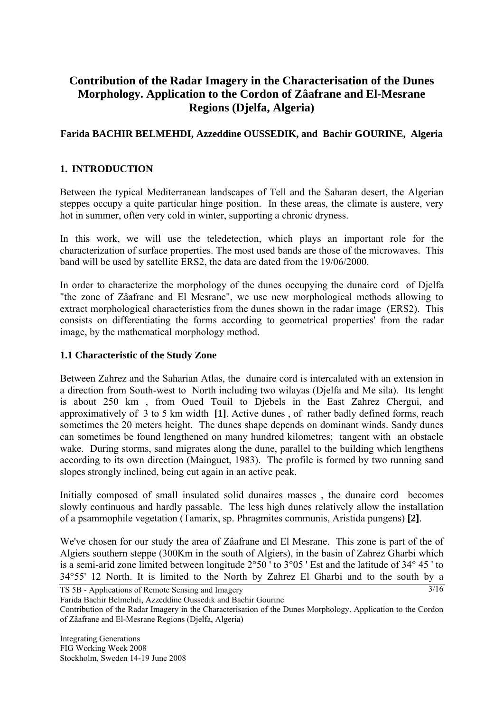# **Contribution of the Radar Imagery in the Characterisation of the Dunes Morphology. Application to the Cordon of Zâafrane and El-Mesrane Regions (Djelfa, Algeria)**

# **Farida BACHIR BELMEHDI, Azzeddine OUSSEDIK, and Bachir GOURINE, Algeria**

# **1. INTRODUCTION**

Between the typical Mediterranean landscapes of Tell and the Saharan desert, the Algerian steppes occupy a quite particular hinge position. In these areas, the climate is austere, very hot in summer, often very cold in winter, supporting a chronic dryness.

In this work, we will use the teledetection, which plays an important role for the characterization of surface properties. The most used bands are those of the microwaves. This band will be used by satellite ERS2, the data are dated from the 19/06/2000.

In order to characterize the morphology of the dunes occupying the dunaire cord of Djelfa "the zone of Zâafrane and El Mesrane", we use new morphological methods allowing to extract morphological characteristics from the dunes shown in the radar image (ERS2). This consists on differentiating the forms according to geometrical properties' from the radar image, by the mathematical morphology method.

#### **1.1 Characteristic of the Study Zone**

Between Zahrez and the Saharian Atlas, the dunaire cord is intercalated with an extension in a direction from South-west to North including two wilayas (Djelfa and Me sila). Its lenght is about 250 km , from Oued Touil to Djebels in the East Zahrez Chergui, and approximatively of 3 to 5 km width **[1]**. Active dunes , of rather badly defined forms, reach sometimes the 20 meters height. The dunes shape depends on dominant winds. Sandy dunes can sometimes be found lengthened on many hundred kilometres; tangent with an obstacle wake. During storms, sand migrates along the dune, parallel to the building which lengthens according to its own direction (Mainguet, 1983). The profile is formed by two running sand slopes strongly inclined, being cut again in an active peak.

Initially composed of small insulated solid dunaires masses , the dunaire cord becomes slowly continuous and hardly passable. The less high dunes relatively allow the installation of a psammophile vegetation (Tamarix, sp. Phragmites communis, Aristida pungens) **[2]**.

3/16 We've chosen for our study the area of Zâafrane and El Mesrane. This zone is part of the of Algiers southern steppe (300Km in the south of Algiers), in the basin of Zahrez Gharbi which is a semi-arid zone limited between longitude 2°50 ' to 3°05 ' Est and the latitude of 34° 45 ' to 34°55' 12 North. It is limited to the North by Zahrez El Gharbi and to the south by a

TS 5B - Applications of Remote Sensing and Imagery

Farida Bachir Belmehdi, Azzeddine Oussedik and Bachir Gourine

Contribution of the Radar Imagery in the Characterisation of the Dunes Morphology. Application to the Cordon of Zâafrane and El-Mesrane Regions (Djelfa, Algeria)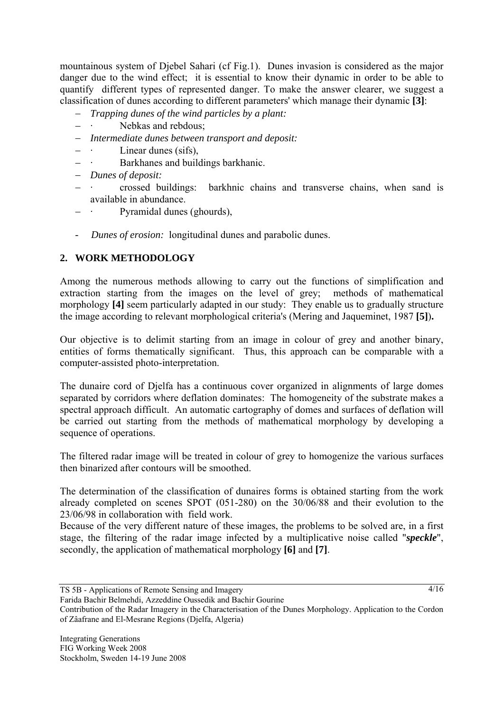mountainous system of Djebel Sahari (cf Fig.1). Dunes invasion is considered as the major danger due to the wind effect; it is essential to know their dynamic in order to be able to quantify different types of represented danger. To make the answer clearer, we suggest a classification of dunes according to different parameters' which manage their dynamic **[3]**:

- − *Trapping dunes of the wind particles by a plant:*
- − · Nebkas and rebdous;
- − *Intermediate dunes between transport and deposit:*
- Linear dunes (sifs),
- − · Barkhanes and buildings barkhanic.
- − *Dunes of deposit:*
- − · crossed buildings: barkhnic chains and transverse chains, when sand is available in abundance.
- − · Pyramidal dunes (ghourds),
- *Dunes of erosion:* longitudinal dunes and parabolic dunes.

# **2. WORK METHODOLOGY**

Among the numerous methods allowing to carry out the functions of simplification and extraction starting from the images on the level of grey; methods of mathematical morphology **[4]** seem particularly adapted in our study: They enable us to gradually structure the image according to relevant morphological criteria's (Mering and Jaqueminet, 1987 **[5]**)**.**

Our objective is to delimit starting from an image in colour of grey and another binary, entities of forms thematically significant. Thus, this approach can be comparable with a computer-assisted photo-interpretation.

The dunaire cord of Djelfa has a continuous cover organized in alignments of large domes separated by corridors where deflation dominates: The homogeneity of the substrate makes a spectral approach difficult. An automatic cartography of domes and surfaces of deflation will be carried out starting from the methods of mathematical morphology by developing a sequence of operations.

The filtered radar image will be treated in colour of grey to homogenize the various surfaces then binarized after contours will be smoothed.

The determination of the classification of dunaires forms is obtained starting from the work already completed on scenes SPOT (051-280) on the 30/06/88 and their evolution to the 23/06/98 in collaboration with field work.

Because of the very different nature of these images, the problems to be solved are, in a first stage, the filtering of the radar image infected by a multiplicative noise called "*speckle*", secondly, the application of mathematical morphology **[6]** and **[7]**.

TS 5B - Applications of Remote Sensing and Imagery

Farida Bachir Belmehdi, Azzeddine Oussedik and Bachir Gourine

Contribution of the Radar Imagery in the Characterisation of the Dunes Morphology. Application to the Cordon of Zâafrane and El-Mesrane Regions (Djelfa, Algeria)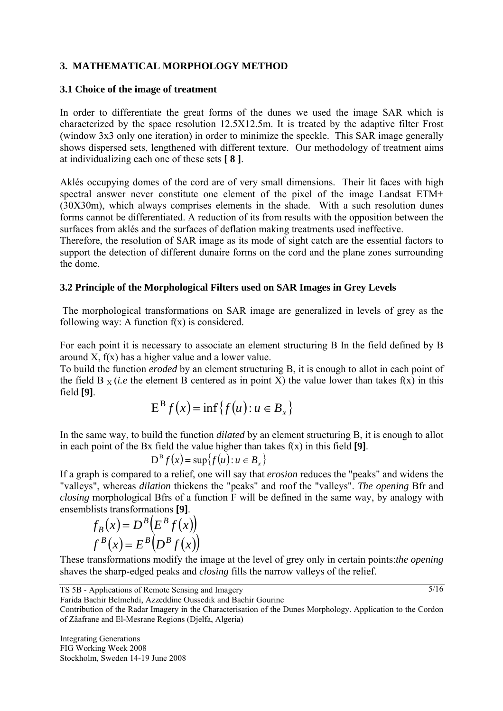# **3. MATHEMATICAL MORPHOLOGY METHOD**

#### **3.1 Choice of the image of treatment**

In order to differentiate the great forms of the dunes we used the image SAR which is characterized by the space resolution 12.5X12.5m. It is treated by the adaptive filter Frost (window 3x3 only one iteration) in order to minimize the speckle. This SAR image generally shows dispersed sets, lengthened with different texture. Our methodology of treatment aims at individualizing each one of these sets **[ 8 ]**.

Aklés occupying domes of the cord are of very small dimensions. Their lit faces with high spectral answer never constitute one element of the pixel of the image Landsat ETM+ (30X30m), which always comprises elements in the shade. With a such resolution dunes forms cannot be differentiated. A reduction of its from results with the opposition between the surfaces from aklés and the surfaces of deflation making treatments used ineffective.

Therefore, the resolution of SAR image as its mode of sight catch are the essential factors to support the detection of different dunaire forms on the cord and the plane zones surrounding the dome.

#### **3.2 Principle of the Morphological Filters used on SAR Images in Grey Levels**

 The morphological transformations on SAR image are generalized in levels of grey as the following way: A function  $f(x)$  is considered.

For each point it is necessary to associate an element structuring B In the field defined by B around  $X$ ,  $f(x)$  has a higher value and a lower value.

To build the function *eroded* by an element structuring B, it is enough to allot in each point of the field B  $_X$  (*i.e* the element B centered as in point X) the value lower than takes f(x) in this field **[9]**.

$$
E^{B} f(x) = \inf \{ f(u) : u \in B_{x} \}
$$

In the same way, to build the function *dilated* by an element structuring B, it is enough to allot in each point of the Bx field the value higher than takes f(x) in this field **[9]**.

$$
D^{\mathrm{B}} f(x) = \sup \{ f(u) : u \in B_{x} \}
$$

If a graph is compared to a relief, one will say that *erosion* reduces the "peaks" and widens the "valleys", whereas *dilation* thickens the "peaks" and roof the "valleys". *The opening* Bfr and *closing* morphological Bfrs of a function F will be defined in the same way, by analogy with ensemblists transformations **[9]**.

$$
f_B(x) = D^B(E^B f(x))
$$
  

$$
f^B(x) = E^B(D^B f(x))
$$

These transformations modify the image at the level of grey only in certain points:*the opening*  shaves the sharp-edged peaks and *closing* fills the narrow valleys of the relief.

TS 5B - Applications of Remote Sensing and Imagery

Contribution of the Radar Imagery in the Characterisation of the Dunes Morphology. Application to the Cordon of Zâafrane and El-Mesrane Regions (Djelfa, Algeria)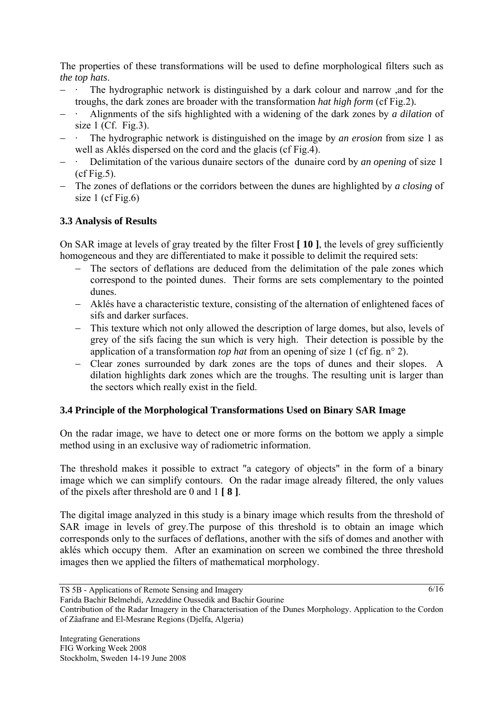The properties of these transformations will be used to define morphological filters such as *the top hats*.

- − · The hydrographic network is distinguished by a dark colour and narrow ,and for the troughs, the dark zones are broader with the transformation *hat high form* (cf Fig.2)*.*
- − · Alignments of the sifs highlighted with a widening of the dark zones by *a dilation* of size 1 (Cf. Fig.3).
- The hydrographic network is distinguished on the image by *an erosion* from size 1 as well as Aklés dispersed on the cord and the glacis (cf Fig.4).
- Delimitation of the various dunaire sectors of the dunaire cord by *an opening* of size 1  $(cf$  Fig. 5).
- − The zones of deflations or the corridors between the dunes are highlighted by *a closing* of size 1 (cf Fig.6)

# **3.3 Analysis of Results**

On SAR image at levels of gray treated by the filter Frost **[ 10 ]**, the levels of grey sufficiently homogeneous and they are differentiated to make it possible to delimit the required sets:

- − The sectors of deflations are deduced from the delimitation of the pale zones which correspond to the pointed dunes. Their forms are sets complementary to the pointed dunes.
- − Aklés have a characteristic texture, consisting of the alternation of enlightened faces of sifs and darker surfaces.
- − This texture which not only allowed the description of large domes, but also, levels of grey of the sifs facing the sun which is very high. Their detection is possible by the application of a transformation *top hat* from an opening of size 1 (cf fig. n° 2).
- − Clear zones surrounded by dark zones are the tops of dunes and their slopes. A dilation highlights dark zones which are the troughs. The resulting unit is larger than the sectors which really exist in the field.

# **3.4 Principle of the Morphological Transformations Used on Binary SAR Image**

On the radar image, we have to detect one or more forms on the bottom we apply a simple method using in an exclusive way of radiometric information.

The threshold makes it possible to extract "a category of objects" in the form of a binary image which we can simplify contours. On the radar image already filtered, the only values of the pixels after threshold are 0 and 1 **[ 8 ]**.

The digital image analyzed in this study is a binary image which results from the threshold of SAR image in levels of grey.The purpose of this threshold is to obtain an image which corresponds only to the surfaces of deflations, another with the sifs of domes and another with aklés which occupy them. After an examination on screen we combined the three threshold images then we applied the filters of mathematical morphology.

TS 5B - Applications of Remote Sensing and Imagery

Farida Bachir Belmehdi, Azzeddine Oussedik and Bachir Gourine

Contribution of the Radar Imagery in the Characterisation of the Dunes Morphology. Application to the Cordon of Zâafrane and El-Mesrane Regions (Djelfa, Algeria)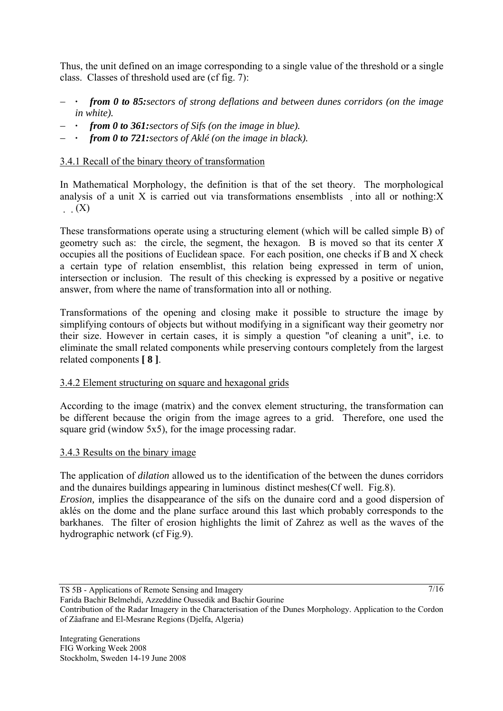Thus, the unit defined on an image corresponding to a single value of the threshold or a single class. Classes of threshold used are (cf fig. 7):

- − *· from 0 to 85:sectors of strong deflations and between dunes corridors (on the image in white).*
- − *· from 0 to 361:sectors of Sifs (on the image in blue).*
- − *· from 0 to 721:sectors of Aklé (on the image in black).*

# 3.4.1 Recall of the binary theory of transformation

In Mathematical Morphology, the definition is that of the set theory. The morphological analysis of a unit X is carried out via transformations ensemblists into all or nothing: $X$  $(X)$ 

These transformations operate using a structuring element (which will be called simple B) of geometry such as: the circle, the segment, the hexagon. B is moved so that its center *X*  occupies all the positions of Euclidean space. For each position, one checks if B and X check a certain type of relation ensemblist, this relation being expressed in term of union, intersection or inclusion. The result of this checking is expressed by a positive or negative answer, from where the name of transformation into all or nothing.

Transformations of the opening and closing make it possible to structure the image by simplifying contours of objects but without modifying in a significant way their geometry nor their size. However in certain cases, it is simply a question "of cleaning a unit", i.e. to eliminate the small related components while preserving contours completely from the largest related components **[ 8 ]**.

# 3.4.2 Element structuring on square and hexagonal grids

According to the image (matrix) and the convex element structuring, the transformation can be different because the origin from the image agrees to a grid. Therefore, one used the square grid (window 5x5), for the image processing radar.

## 3.4.3 Results on the binary image

The application of *dilation* allowed us to the identification of the between the dunes corridors and the dunaires buildings appearing in luminous distinct meshes(Cf well. Fig.8).

*Erosion*, implies the disappearance of the sifs on the dunaire cord and a good dispersion of aklés on the dome and the plane surface around this last which probably corresponds to the barkhanes. The filter of erosion highlights the limit of Zahrez as well as the waves of the hydrographic network (cf Fig.9).

TS 5B - Applications of Remote Sensing and Imagery

Contribution of the Radar Imagery in the Characterisation of the Dunes Morphology. Application to the Cordon of Zâafrane and El-Mesrane Regions (Djelfa, Algeria)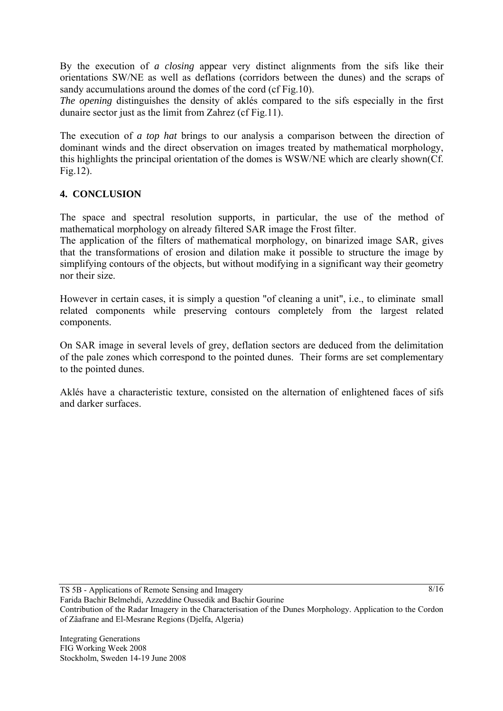By the execution of *a closing* appear very distinct alignments from the sifs like their orientations SW/NE as well as deflations (corridors between the dunes) and the scraps of sandy accumulations around the domes of the cord (cf Fig.10).

*The opening* distinguishes the density of aklés compared to the sifs especially in the first dunaire sector just as the limit from Zahrez (cf Fig.11).

The execution of *a top hat* brings to our analysis a comparison between the direction of dominant winds and the direct observation on images treated by mathematical morphology, this highlights the principal orientation of the domes is WSW/NE which are clearly shown(Cf. Fig.12).

# **4. CONCLUSION**

The space and spectral resolution supports, in particular, the use of the method of mathematical morphology on already filtered SAR image the Frost filter.

The application of the filters of mathematical morphology, on binarized image SAR, gives that the transformations of erosion and dilation make it possible to structure the image by simplifying contours of the objects, but without modifying in a significant way their geometry nor their size.

However in certain cases, it is simply a question "of cleaning a unit", i.e., to eliminate small related components while preserving contours completely from the largest related components.

On SAR image in several levels of grey, deflation sectors are deduced from the delimitation of the pale zones which correspond to the pointed dunes. Their forms are set complementary to the pointed dunes.

Aklés have a characteristic texture, consisted on the alternation of enlightened faces of sifs and darker surfaces.

TS 5B - Applications of Remote Sensing and Imagery

 $8/16$ 

Contribution of the Radar Imagery in the Characterisation of the Dunes Morphology. Application to the Cordon of Zâafrane and El-Mesrane Regions (Djelfa, Algeria)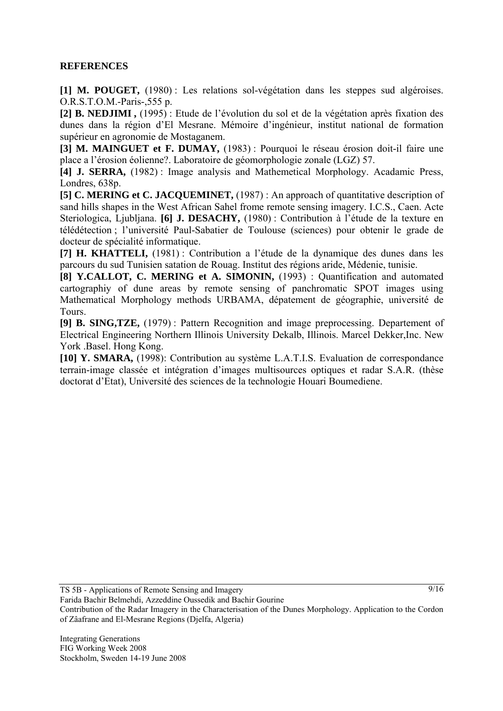## **REFERENCES**

**[1] M. POUGET,** (1980) : Les relations sol-végétation dans les steppes sud algéroises. O.R.S.T.O.M.-Paris-,555 p.

**[2] B. NEDJIMI ,** (1995) : Etude de l'évolution du sol et de la végétation après fixation des dunes dans la région d'El Mesrane. Mémoire d'ingénieur, institut national de formation supérieur en agronomie de Mostaganem.

**[3] M. MAINGUET et F. DUMAY,** (1983) : Pourquoi le réseau érosion doit-il faire une place a l'érosion éolienne?. Laboratoire de géomorphologie zonale (LGZ) 57.

**[4] J. SERRA,** (1982) : Image analysis and Mathemetical Morphology. Acadamic Press, Londres, 638p.

**[5] C. MERING et C. JACQUEMINET,** (1987) : An approach of quantitative description of sand hills shapes in the West African Sahel frome remote sensing imagery. I.C.S., Caen. Acte Steriologica, Ljubljana. **[6] J. DESACHY,** (1980) : Contribution à l'étude de la texture en télédétection ; l'université Paul-Sabatier de Toulouse (sciences) pour obtenir le grade de docteur de spécialité informatique.

**[7] H. KHATTELI,** (1981) : Contribution a l'étude de la dynamique des dunes dans les parcours du sud Tunisien satation de Rouag. Institut des régions aride, Médenie, tunisie.

**[8] Y.CALLOT, C. MERING et A. SIMONIN,** (1993) : Quantification and automated cartographiy of dune areas by remote sensing of panchromatic SPOT images using Mathematical Morphology methods URBAMA, dépatement de géographie, université de Tours.

**[9] B. SING,TZE,** (1979) : Pattern Recognition and image preprocessing. Departement of Electrical Engineering Northern Illinois University Dekalb, Illinois. Marcel Dekker,Inc. New York .Basel. Hong Kong.

**[10] Y. SMARA,** (1998): Contribution au système L.A.T.I.S. Evaluation de correspondance terrain-image classée et intégration d'images multisources optiques et radar S.A.R. (thèse doctorat d'Etat), Université des sciences de la technologie Houari Boumediene.

TS 5B - Applications of Remote Sensing and Imagery

Contribution of the Radar Imagery in the Characterisation of the Dunes Morphology. Application to the Cordon of Zâafrane and El-Mesrane Regions (Djelfa, Algeria)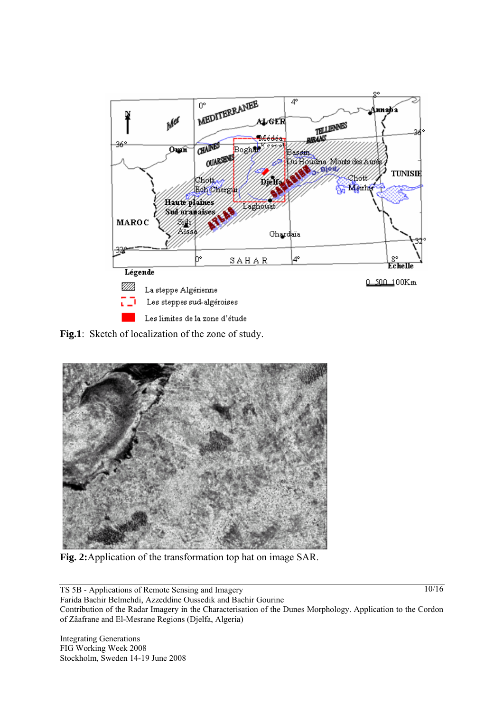

**Fig.1**: Sketch of localization of the zone of study.



**Fig. 2:**Application of the transformation top hat on image SAR.

TS 5B - Applications of Remote Sensing and Imagery Farida Bachir Belmehdi, Azzeddine Oussedik and Bachir Gourine Contribution of the Radar Imagery in the Characterisation of the Dunes Morphology. Application to the Cordon of Zâafrane and El-Mesrane Regions (Djelfa, Algeria)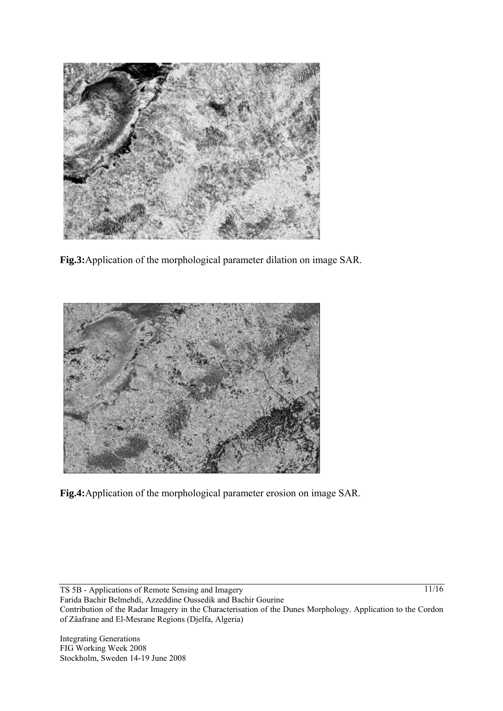

**Fig.3:**Application of the morphological parameter dilation on image SAR.



**Fig.4:**Application of the morphological parameter erosion on image SAR.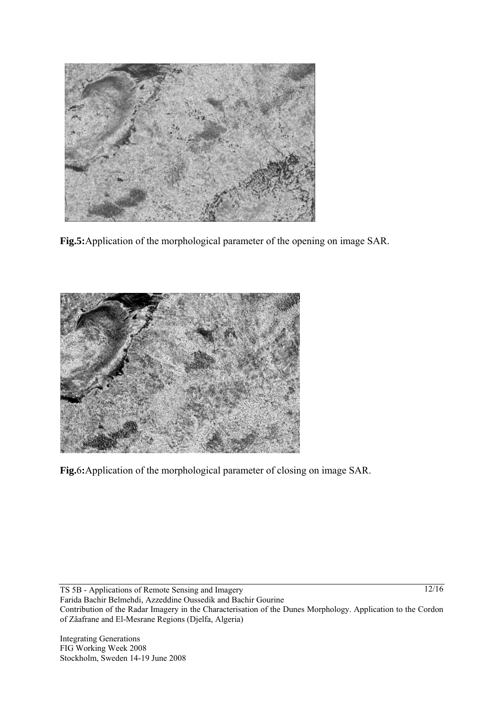

**Fig.5:**Application of the morphological parameter of the opening on image SAR.



**Fig.**6**:**Application of the morphological parameter of closing on image SAR.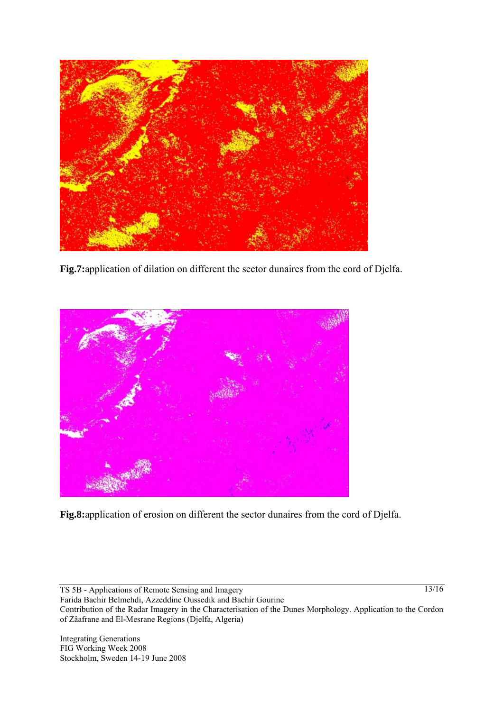

**Fig.7:**application of dilation on different the sector dunaires from the cord of Djelfa.



**Fig.8:**application of erosion on different the sector dunaires from the cord of Djelfa.

TS 5B - Applications of Remote Sensing and Imagery Farida Bachir Belmehdi, Azzeddine Oussedik and Bachir Gourine Contribution of the Radar Imagery in the Characterisation of the Dunes Morphology. Application to the Cordon of Zâafrane and El-Mesrane Regions (Djelfa, Algeria)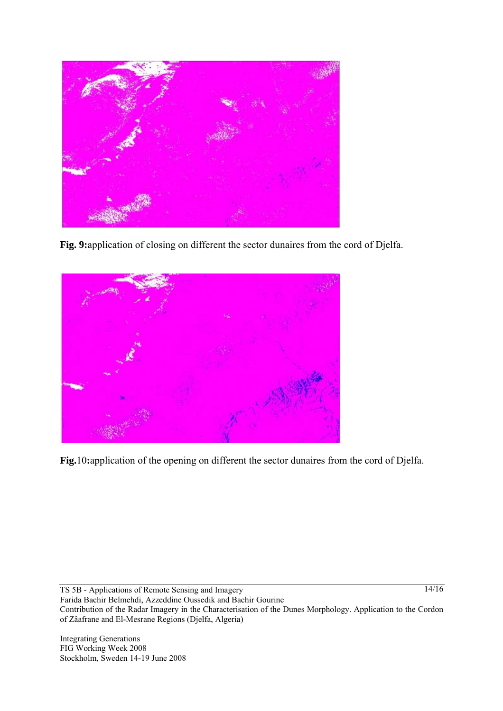

**Fig. 9:**application of closing on different the sector dunaires from the cord of Djelfa.



**Fig.**10**:**application of the opening on different the sector dunaires from the cord of Djelfa.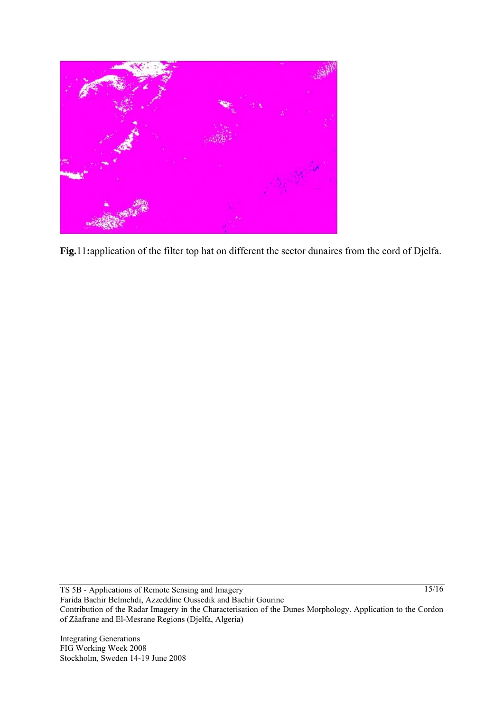

**Fig.**11**:**application of the filter top hat on different the sector dunaires from the cord of Djelfa.